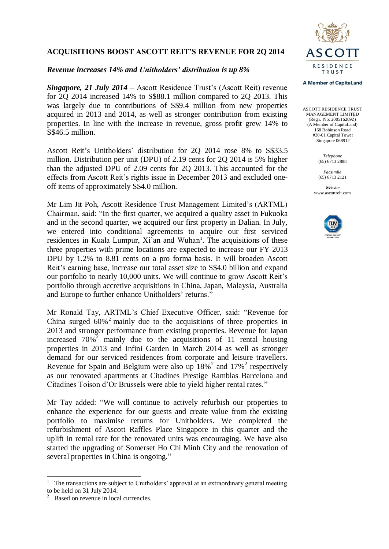

# **ACQUISITIONS BOOST ASCOTT REIT'S REVENUE FOR 2Q 2014**

### *Revenue increases 14% and Unitholders' distribution is up 8%*

*Singapore, 21 July 2014* – Ascott Residence Trust's (Ascott Reit) revenue for 2Q 2014 increased 14% to S\$88.1 million compared to 2Q 2013. This was largely due to contributions of S\$9.4 million from new properties acquired in 2013 and 2014, as well as stronger contribution from existing properties. In line with the increase in revenue, gross profit grew 14% to S\$46.5 million.

Ascott Reit's Unitholders' distribution for 2Q 2014 rose 8% to S\$33.5 million. Distribution per unit (DPU) of 2.19 cents for 2Q 2014 is 5% higher than the adjusted DPU of 2.09 cents for 2Q 2013. This accounted for the effects from Ascott Reit's rights issue in December 2013 and excluded oneoff items of approximately S\$4.0 million.

Mr Lim Jit Poh, Ascott Residence Trust Management Limited's (ARTML) Chairman, said: "In the first quarter, we acquired a quality asset in Fukuoka and in the second quarter, we acquired our first property in Dalian. In July, we entered into conditional agreements to acquire our first serviced residences in Kuala Lumpur, Xi'an and Wuhan<sup>1</sup>. The acquisitions of these three properties with prime locations are expected to increase our FY 2013 DPU by 1.2% to 8.81 cents on a pro forma basis. It will broaden Ascott Reit's earning base, increase our total asset size to S\$4.0 billion and expand our portfolio to nearly 10,000 units. We will continue to grow Ascott Reit's portfolio through accretive acquisitions in China, Japan, Malaysia, Australia and Europe to further enhance Unitholders' returns."

Mr Ronald Tay, ARTML's Chief Executive Officer, said: "Revenue for China surged 60% <sup>2</sup> mainly due to the acquisitions of three properties in 2013 and stronger performance from existing properties. Revenue for Japan increased  $70\%$ <sup>2</sup> mainly due to the acquisitions of 11 rental housing properties in 2013 and Infini Garden in March 2014 as well as stronger demand for our serviced residences from corporate and leisure travellers. Revenue for Spain and Belgium were also up  $18\%$ <sup>2</sup> and  $17\%$ <sup>2</sup> respectively as our renovated apartments at Citadines Prestige Ramblas Barcelona and Citadines Toison d'Or Brussels were able to yield higher rental rates."

Mr Tay added: "We will continue to actively refurbish our properties to enhance the experience for our guests and create value from the existing portfolio to maximise returns for Unitholders. We completed the refurbishment of Ascott Raffles Place Singapore in this quarter and the uplift in rental rate for the renovated units was encouraging. We have also started the upgrading of Somerset Ho Chi Minh City and the renovation of several properties in China is ongoing."

-

#### **A Member of CapitaLand**

ASCOTT RESIDENCE TRUST MANAGEMENT LIMITED (Regn. No: 200516209Z) (A Member of CapitaLand) 168 Robinson Road #30-01 Capital Tower Singapore 068912

> *Telephone* (65) 6713 2888

*Facsimile* (65) 6713 2121

*Website* www.ascottreit.com



<sup>1</sup> The transactions are subject to Unitholders' approval at an extraordinary general meeting to be held on 31 July 2014.

<sup>&</sup>lt;sup>2</sup> Based on revenue in local currencies.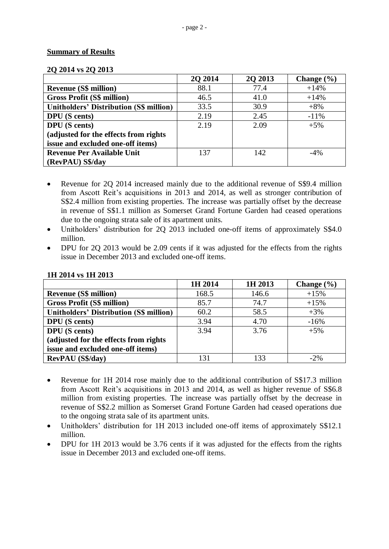## **Summary of Results**

#### **2Q 2014 vs 2Q 2013**

|                                                | <b>20 2014</b> | 20 20 13 | Change $(\% )$ |
|------------------------------------------------|----------------|----------|----------------|
| <b>Revenue (S\$ million)</b>                   | 88.1           | 77.4     | $+14%$         |
| <b>Gross Profit (S\$ million)</b>              | 46.5           | 41.0     | $+14%$         |
| <b>Unitholders' Distribution (S\$ million)</b> | 33.5           | 30.9     | $+8%$          |
| <b>DPU</b> (S cents)                           | 2.19           | 2.45     | $-11\%$        |
| <b>DPU</b> (S cents)                           | 2.19           | 2.09     | $+5%$          |
| (adjusted for the effects from rights          |                |          |                |
| issue and excluded one-off items)              |                |          |                |
| <b>Revenue Per Available Unit</b>              | 137            | 142      | $-4\%$         |
| (RevPAU) S\$/day                               |                |          |                |

- Revenue for 2Q 2014 increased mainly due to the additional revenue of S\$9.4 million from Ascott Reit's acquisitions in 2013 and 2014, as well as stronger contribution of S\$2.4 million from existing properties. The increase was partially offset by the decrease in revenue of S\$1.1 million as Somerset Grand Fortune Garden had ceased operations due to the ongoing strata sale of its apartment units.
- Unitholders' distribution for 2Q 2013 included one-off items of approximately S\$4.0 million.
- DPU for 2Q 2013 would be 2.09 cents if it was adjusted for the effects from the rights issue in December 2013 and excluded one-off items.

|                                                | 1H 2014 | 1H 2013 | Change $(\% )$ |
|------------------------------------------------|---------|---------|----------------|
| <b>Revenue (S\$ million)</b>                   | 168.5   | 146.6   | $+15%$         |
| <b>Gross Profit (S\$ million)</b>              | 85.7    | 74.7    | $+15%$         |
| <b>Unitholders' Distribution (S\$ million)</b> | 60.2    | 58.5    | $+3%$          |
| <b>DPU</b> (S cents)                           | 3.94    | 4.70    | $-16%$         |
| <b>DPU</b> (S cents)                           | 3.94    | 3.76    | $+5%$          |
| (adjusted for the effects from rights)         |         |         |                |
| issue and excluded one-off items)              |         |         |                |
| <b>RevPAU</b> (S\$/day)                        | 131     | 133     | $-2\%$         |

#### **1H 2014 vs 1H 2013**

- Revenue for 1H 2014 rose mainly due to the additional contribution of S\$17.3 million from Ascott Reit's acquisitions in 2013 and 2014, as well as higher revenue of S\$6.8 million from existing properties. The increase was partially offset by the decrease in revenue of S\$2.2 million as Somerset Grand Fortune Garden had ceased operations due to the ongoing strata sale of its apartment units.
- Unitholders' distribution for 1H 2013 included one-off items of approximately S\$12.1 million.
- DPU for 1H 2013 would be 3.76 cents if it was adjusted for the effects from the rights issue in December 2013 and excluded one-off items.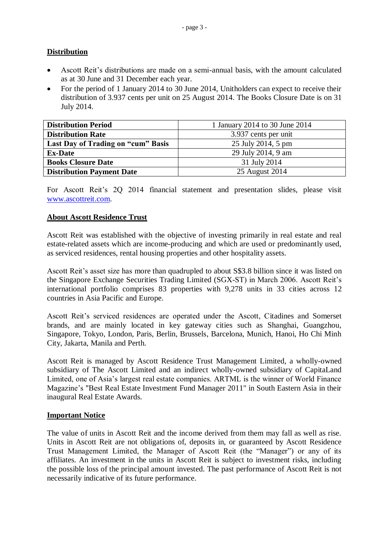# **Distribution**

- Ascott Reit's distributions are made on a semi-annual basis, with the amount calculated as at 30 June and 31 December each year.
- For the period of 1 January 2014 to 30 June 2014, Unitholders can expect to receive their distribution of 3.937 cents per unit on 25 August 2014. The Books Closure Date is on 31 July 2014.

| <b>Distribution Period</b>         | 1 January 2014 to 30 June 2014 |
|------------------------------------|--------------------------------|
| <b>Distribution Rate</b>           | 3.937 cents per unit           |
| Last Day of Trading on "cum" Basis | 25 July 2014, 5 pm             |
| <b>Ex-Date</b>                     | 29 July 2014, 9 am             |
| <b>Books Closure Date</b>          | 31 July 2014                   |
| <b>Distribution Payment Date</b>   | 25 August 2014                 |

For Ascott Reit's 2Q 2014 financial statement and presentation slides, please visit [www.ascottreit.com.](http://www.ascottreit.com/)

# **About Ascott Residence Trust**

Ascott Reit was established with the objective of investing primarily in real estate and real estate-related assets which are income-producing and which are used or predominantly used, as serviced residences, rental housing properties and other hospitality assets.

Ascott Reit's asset size has more than quadrupled to about S\$3.8 billion since it was listed on the Singapore Exchange Securities Trading Limited (SGX-ST) in March 2006. Ascott Reit's international portfolio comprises 83 properties with 9,278 units in 33 cities across 12 countries in Asia Pacific and Europe.

Ascott Reit's serviced residences are operated under the Ascott, Citadines and Somerset brands, and are mainly located in key gateway cities such as Shanghai, Guangzhou, Singapore, Tokyo, London, Paris, Berlin, Brussels, Barcelona, Munich, Hanoi, Ho Chi Minh City, Jakarta, Manila and Perth.

Ascott Reit is managed by Ascott Residence Trust Management Limited, a wholly-owned subsidiary of The Ascott Limited and an indirect wholly-owned subsidiary of CapitaLand Limited, one of Asia's largest real estate companies. ARTML is the winner of World Finance Magazine's "Best Real Estate Investment Fund Manager 2011" in South Eastern Asia in their inaugural Real Estate Awards.

# **Important Notice**

The value of units in Ascott Reit and the income derived from them may fall as well as rise. Units in Ascott Reit are not obligations of, deposits in, or guaranteed by Ascott Residence Trust Management Limited, the Manager of Ascott Reit (the "Manager") or any of its affiliates. An investment in the units in Ascott Reit is subject to investment risks, including the possible loss of the principal amount invested. The past performance of Ascott Reit is not necessarily indicative of its future performance.